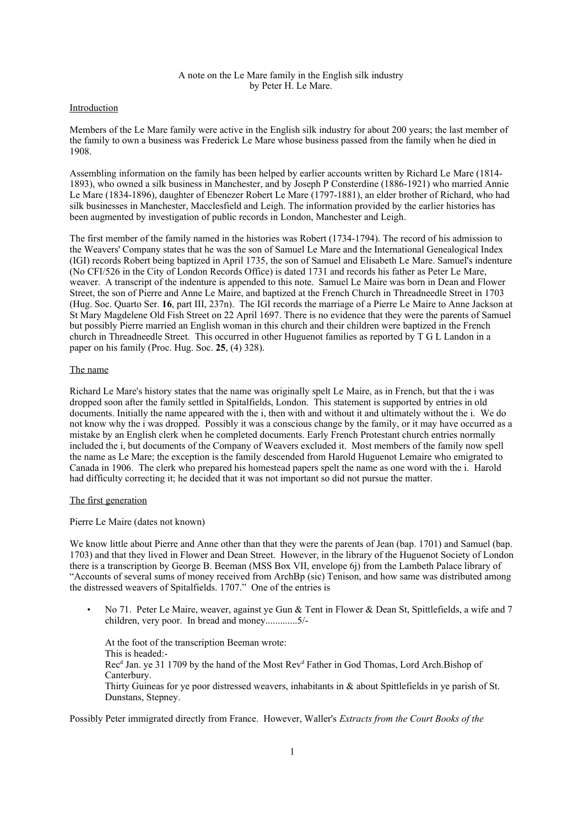# A note on the Le Mare family in the English silk industry by Peter H. Le Mare.

### Introduction

Members of the Le Mare family were active in the English silk industry for about 200 years; the last member of the family to own a business was Frederick Le Mare whose business passed from the family when he died in 1908.

Assembling information on the family has been helped by earlier accounts written by Richard Le Mare (1814- 1893), who owned a silk business in Manchester, and by Joseph P Consterdine (1886-1921) who married Annie Le Mare (1834-1896), daughter of Ebenezer Robert Le Mare (1797-1881), an elder brother of Richard, who had silk businesses in Manchester, Macclesfield and Leigh. The information provided by the earlier histories has been augmented by investigation of public records in London, Manchester and Leigh.

The first member of the family named in the histories was Robert (1734-1794). The record of his admission to the Weavers' Company states that he was the son of Samuel Le Mare and the International Genealogical Index (IGI) records Robert being baptized in April 1735, the son of Samuel and Elisabeth Le Mare. Samuel's indenture (No CFI/526 in the City of London Records Office) is dated 1731 and records his father as Peter Le Mare, weaver. A transcript of the indenture is appended to this note. Samuel Le Maire was born in Dean and Flower Street, the son of Pierre and Anne Le Maire, and baptized at the French Church in Threadneedle Street in 1703 (Hug. Soc. Quarto Ser. **16**, part III, 237n). The IGI records the marriage of a Pierre Le Maire to Anne Jackson at St Mary Magdelene Old Fish Street on 22 April 1697. There is no evidence that they were the parents of Samuel but possibly Pierre married an English woman in this church and their children were baptized in the French church in Threadneedle Street. This occurred in other Huguenot families as reported by T G L Landon in a paper on his family (Proc. Hug. Soc. **25**, (4) 328).

## The name

Richard Le Mare's history states that the name was originally spelt Le Maire, as in French, but that the i was dropped soon after the family settled in Spitalfields, London. This statement is supported by entries in old documents. Initially the name appeared with the i, then with and without it and ultimately without the i. We do not know why the i was dropped. Possibly it was a conscious change by the family, or it may have occurred as a mistake by an English clerk when he completed documents. Early French Protestant church entries normally included the i, but documents of the Company of Weavers excluded it. Most members of the family now spell the name as Le Mare; the exception is the family descended from Harold Huguenot Lemaire who emigrated to Canada in 1906. The clerk who prepared his homestead papers spelt the name as one word with the i. Harold had difficulty correcting it; he decided that it was not important so did not pursue the matter.

#### The first generation

## Pierre Le Maire (dates not known)

We know little about Pierre and Anne other than that they were the parents of Jean (bap. 1701) and Samuel (bap. 1703) and that they lived in Flower and Dean Street. However, in the library of the Huguenot Society of London there is a transcription by George B. Beeman (MSS Box VII, envelope 6j) from the Lambeth Palace library of "Accounts of several sums of money received from ArchBp (sic) Tenison, and how same was distributed among the distressed weavers of Spitalfields. 1707." One of the entries is

• No 71. Peter Le Maire, weaver, against ye Gun & Tent in Flower & Dean St, Spittlefields, a wife and 7 children, very poor. In bread and money.............5/-

At the foot of the transcription Beeman wrote: This is headed:- Rec<sup>d</sup> Jan. ye 31 1709 by the hand of the Most Rev<sup>d</sup> Father in God Thomas, Lord Arch. Bishop of **Canterbury** Thirty Guineas for ye poor distressed weavers, inhabitants in & about Spittlefields in ye parish of St. Dunstans, Stepney.

Possibly Peter immigrated directly from France. However, Waller's *Extracts from the Court Books of the*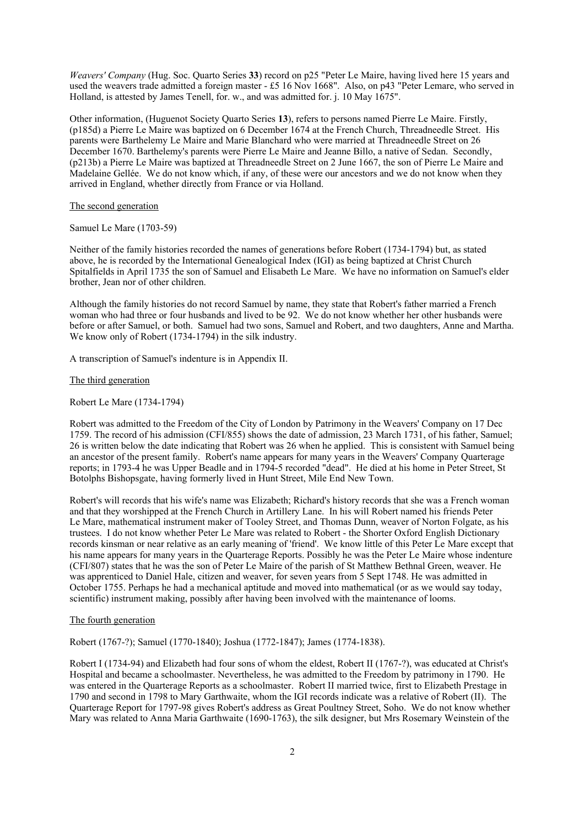*Weavers' Company* (Hug. Soc. Quarto Series **33**) record on p25 "Peter Le Maire, having lived here 15 years and used the weavers trade admitted a foreign master - £5 16 Nov 1668". Also, on p43 "Peter Lemare, who served in Holland, is attested by James Tenell, for. w., and was admitted for. j. 10 May 1675".

Other information, (Huguenot Society Quarto Series **13**), refers to persons named Pierre Le Maire. Firstly, (p185d) a Pierre Le Maire was baptized on 6 December 1674 at the French Church, Threadneedle Street. His parents were Barthelemy Le Maire and Marie Blanchard who were married at Threadneedle Street on 26 December 1670. Barthelemy's parents were Pierre Le Maire and Jeanne Billo, a native of Sedan. Secondly, (p213b) a Pierre Le Maire was baptized at Threadneedle Street on 2 June 1667, the son of Pierre Le Maire and Madelaine Gellée. We do not know which, if any, of these were our ancestors and we do not know when they arrived in England, whether directly from France or via Holland.

## The second generation

Samuel Le Mare (1703-59)

Neither of the family histories recorded the names of generations before Robert (1734-1794) but, as stated above, he is recorded by the International Genealogical Index (IGI) as being baptized at Christ Church Spitalfields in April 1735 the son of Samuel and Elisabeth Le Mare. We have no information on Samuel's elder brother, Jean nor of other children.

Although the family histories do not record Samuel by name, they state that Robert's father married a French woman who had three or four husbands and lived to be 92. We do not know whether her other husbands were before or after Samuel, or both. Samuel had two sons, Samuel and Robert, and two daughters, Anne and Martha. We know only of Robert (1734-1794) in the silk industry.

A transcription of Samuel's indenture is in Appendix II.

## The third generation

## Robert Le Mare (1734-1794)

Robert was admitted to the Freedom of the City of London by Patrimony in the Weavers' Company on 17 Dec 1759. The record of his admission (CFI/855) shows the date of admission, 23 March 1731, of his father, Samuel; 26 is written below the date indicating that Robert was 26 when he applied. This is consistent with Samuel being an ancestor of the present family. Robert's name appears for many years in the Weavers' Company Quarterage reports; in 1793-4 he was Upper Beadle and in 1794-5 recorded "dead". He died at his home in Peter Street, St Botolphs Bishopsgate, having formerly lived in Hunt Street, Mile End New Town.

Robert's will records that his wife's name was Elizabeth; Richard's history records that she was a French woman and that they worshipped at the French Church in Artillery Lane. In his will Robert named his friends Peter Le Mare, mathematical instrument maker of Tooley Street, and Thomas Dunn, weaver of Norton Folgate, as his trustees. I do not know whether Peter Le Mare was related to Robert - the Shorter Oxford English Dictionary records kinsman or near relative as an early meaning of 'friend'. We know little of this Peter Le Mare except that his name appears for many years in the Quarterage Reports. Possibly he was the Peter Le Maire whose indenture (CFI/807) states that he was the son of Peter Le Maire of the parish of St Matthew Bethnal Green, weaver. He was apprenticed to Daniel Hale, citizen and weaver, for seven years from 5 Sept 1748. He was admitted in October 1755. Perhaps he had a mechanical aptitude and moved into mathematical (or as we would say today, scientific) instrument making, possibly after having been involved with the maintenance of looms.

## The fourth generation

Robert (1767-?); Samuel (1770-1840); Joshua (1772-1847); James (1774-1838).

Robert I (1734-94) and Elizabeth had four sons of whom the eldest, Robert II (1767-?), was educated at Christ's Hospital and became a schoolmaster. Nevertheless, he was admitted to the Freedom by patrimony in 1790. He was entered in the Quarterage Reports as a schoolmaster. Robert II married twice, first to Elizabeth Prestage in 1790 and second in 1798 to Mary Garthwaite, whom the IGI records indicate was a relative of Robert (II). The Quarterage Report for 1797-98 gives Robert's address as Great Poultney Street, Soho. We do not know whether Mary was related to Anna Maria Garthwaite (1690-1763), the silk designer, but Mrs Rosemary Weinstein of the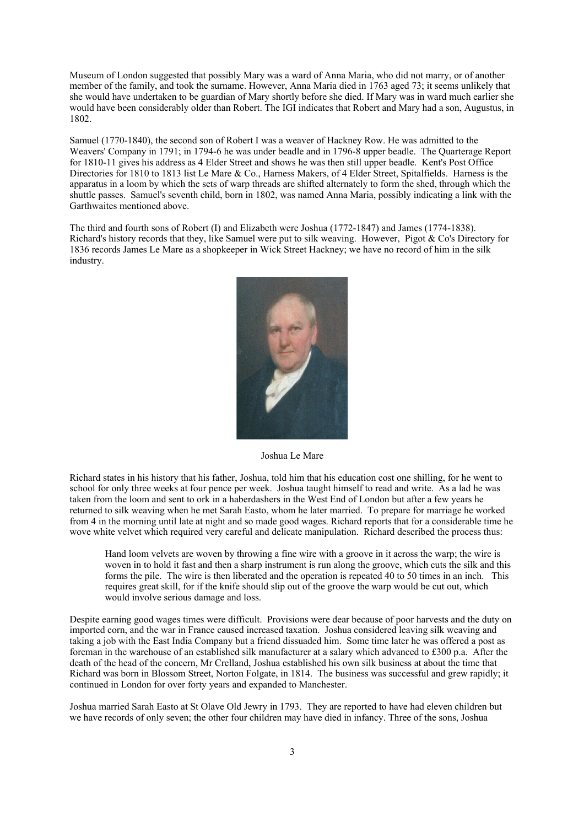Museum of London suggested that possibly Mary was a ward of Anna Maria, who did not marry, or of another member of the family, and took the surname. However, Anna Maria died in 1763 aged 73; it seems unlikely that she would have undertaken to be guardian of Mary shortly before she died. If Mary was in ward much earlier she would have been considerably older than Robert. The IGI indicates that Robert and Mary had a son, Augustus, in 1802.

Samuel (1770-1840), the second son of Robert I was a weaver of Hackney Row. He was admitted to the Weavers' Company in 1791; in 1794-6 he was under beadle and in 1796-8 upper beadle. The Quarterage Report for 1810-11 gives his address as 4 Elder Street and shows he was then still upper beadle. Kent's Post Office Directories for 1810 to 1813 list Le Mare & Co., Harness Makers, of 4 Elder Street, Spitalfields. Harness is the apparatus in a loom by which the sets of warp threads are shifted alternately to form the shed, through which the shuttle passes. Samuel's seventh child, born in 1802, was named Anna Maria, possibly indicating a link with the Garthwaites mentioned above.

The third and fourth sons of Robert (I) and Elizabeth were Joshua (1772-1847) and James (1774-1838). Richard's history records that they, like Samuel were put to silk weaving. However, Pigot & Co's Directory for 1836 records James Le Mare as a shopkeeper in Wick Street Hackney; we have no record of him in the silk industry.



Joshua Le Mare

Richard states in his history that his father, Joshua, told him that his education cost one shilling, for he went to school for only three weeks at four pence per week. Joshua taught himself to read and write. As a lad he was taken from the loom and sent to ork in a haberdashers in the West End of London but after a few years he returned to silk weaving when he met Sarah Easto, whom he later married. To prepare for marriage he worked from 4 in the morning until late at night and so made good wages. Richard reports that for a considerable time he wove white velvet which required very careful and delicate manipulation. Richard described the process thus:

Hand loom velvets are woven by throwing a fine wire with a groove in it across the warp; the wire is woven in to hold it fast and then a sharp instrument is run along the groove, which cuts the silk and this forms the pile. The wire is then liberated and the operation is repeated 40 to 50 times in an inch. This requires great skill, for if the knife should slip out of the groove the warp would be cut out, which would involve serious damage and loss.

Despite earning good wages times were difficult. Provisions were dear because of poor harvests and the duty on imported corn, and the war in France caused increased taxation. Joshua considered leaving silk weaving and taking a job with the East India Company but a friend dissuaded him. Some time later he was offered a post as foreman in the warehouse of an established silk manufacturer at a salary which advanced to £300 p.a. After the death of the head of the concern, Mr Crelland, Joshua established his own silk business at about the time that Richard was born in Blossom Street, Norton Folgate, in 1814. The business was successful and grew rapidly; it continued in London for over forty years and expanded to Manchester.

Joshua married Sarah Easto at St Olave Old Jewry in 1793. They are reported to have had eleven children but we have records of only seven; the other four children may have died in infancy. Three of the sons, Joshua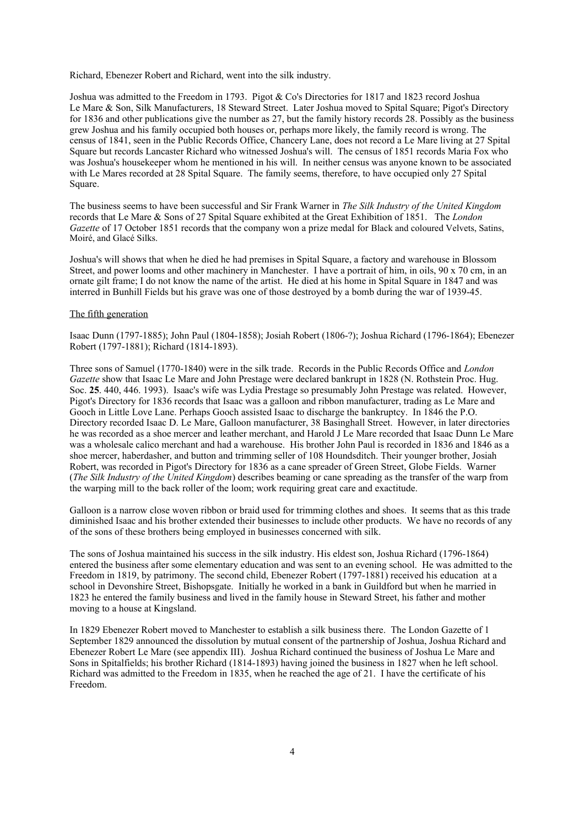Richard, Ebenezer Robert and Richard, went into the silk industry.

Joshua was admitted to the Freedom in 1793. Pigot & Co's Directories for 1817 and 1823 record Joshua Le Mare & Son, Silk Manufacturers, 18 Steward Street. Later Joshua moved to Spital Square; Pigot's Directory for 1836 and other publications give the number as 27, but the family history records 28. Possibly as the business grew Joshua and his family occupied both houses or, perhaps more likely, the family record is wrong. The census of 1841, seen in the Public Records Office, Chancery Lane, does not record a Le Mare living at 27 Spital Square but records Lancaster Richard who witnessed Joshua's will. The census of 1851 records Maria Fox who was Joshua's housekeeper whom he mentioned in his will. In neither census was anyone known to be associated with Le Mares recorded at 28 Spital Square. The family seems, therefore, to have occupied only 27 Spital Square.

The business seems to have been successful and Sir Frank Warner in *The Silk Industry of the United Kingdom* records that Le Mare & Sons of 27 Spital Square exhibited at the Great Exhibition of 1851. The *London Gazette* of 17 October 1851 records that the company won a prize medal for Black and coloured Velvets, Satins, Moiré, and Glacé Silks.

Joshua's will shows that when he died he had premises in Spital Square, a factory and warehouse in Blossom Street, and power looms and other machinery in Manchester. I have a portrait of him, in oils, 90 x 70 cm, in an ornate gilt frame; I do not know the name of the artist. He died at his home in Spital Square in 1847 and was interred in Bunhill Fields but his grave was one of those destroyed by a bomb during the war of 1939-45.

## The fifth generation

Isaac Dunn (1797-1885); John Paul (1804-1858); Josiah Robert (1806-?); Joshua Richard (1796-1864); Ebenezer Robert (1797-1881); Richard (1814-1893).

Three sons of Samuel (1770-1840) were in the silk trade. Records in the Public Records Office and *London Gazette* show that Isaac Le Mare and John Prestage were declared bankrupt in 1828 (N. Rothstein Proc. Hug. Soc. **25**. 440, 446. 1993). Isaac's wife was Lydia Prestage so presumably John Prestage was related. However, Pigot's Directory for 1836 records that Isaac was a galloon and ribbon manufacturer, trading as Le Mare and Gooch in Little Love Lane. Perhaps Gooch assisted Isaac to discharge the bankruptcy. In 1846 the P.O. Directory recorded Isaac D. Le Mare, Galloon manufacturer, 38 Basinghall Street. However, in later directories he was recorded as a shoe mercer and leather merchant, and Harold J Le Mare recorded that Isaac Dunn Le Mare was a wholesale calico merchant and had a warehouse. His brother John Paul is recorded in 1836 and 1846 as a shoe mercer, haberdasher, and button and trimming seller of 108 Houndsditch. Their younger brother, Josiah Robert, was recorded in Pigot's Directory for 1836 as a cane spreader of Green Street, Globe Fields. Warner (*The Silk Industry of the United Kingdom*) describes beaming or cane spreading as the transfer of the warp from the warping mill to the back roller of the loom; work requiring great care and exactitude.

Galloon is a narrow close woven ribbon or braid used for trimming clothes and shoes. It seems that as this trade diminished Isaac and his brother extended their businesses to include other products. We have no records of any of the sons of these brothers being employed in businesses concerned with silk.

The sons of Joshua maintained his success in the silk industry. His eldest son, Joshua Richard (1796-1864) entered the business after some elementary education and was sent to an evening school. He was admitted to the Freedom in 1819, by patrimony. The second child, Ebenezer Robert (1797-1881) received his education at a school in Devonshire Street, Bishopsgate. Initially he worked in a bank in Guildford but when he married in 1823 he entered the family business and lived in the family house in Steward Street, his father and mother moving to a house at Kingsland.

In 1829 Ebenezer Robert moved to Manchester to establish a silk business there. The London Gazette of 1 September 1829 announced the dissolution by mutual consent of the partnership of Joshua, Joshua Richard and Ebenezer Robert Le Mare (see appendix III). Joshua Richard continued the business of Joshua Le Mare and Sons in Spitalfields; his brother Richard (1814-1893) having joined the business in 1827 when he left school. Richard was admitted to the Freedom in 1835, when he reached the age of 21. I have the certificate of his Freedom.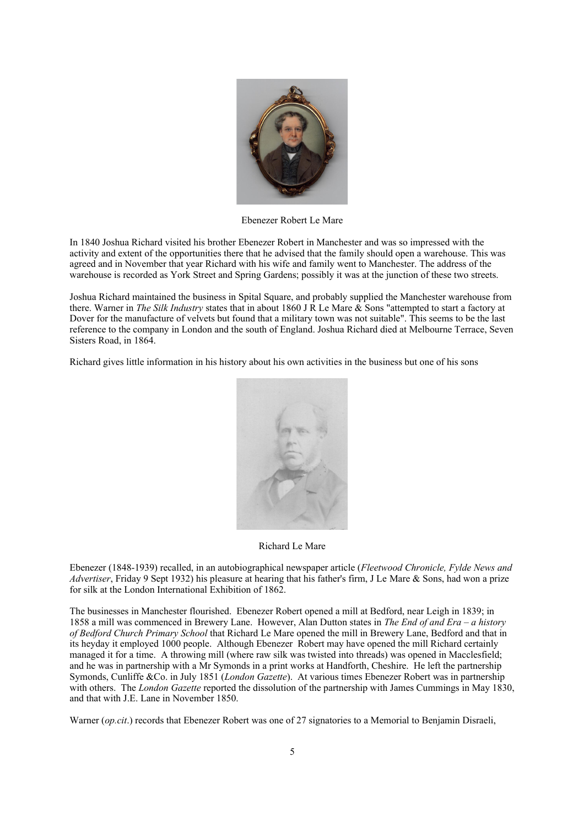

Ebenezer Robert Le Mare

In 1840 Joshua Richard visited his brother Ebenezer Robert in Manchester and was so impressed with the activity and extent of the opportunities there that he advised that the family should open a warehouse. This was agreed and in November that year Richard with his wife and family went to Manchester. The address of the warehouse is recorded as York Street and Spring Gardens; possibly it was at the junction of these two streets.

Joshua Richard maintained the business in Spital Square, and probably supplied the Manchester warehouse from there. Warner in *The Silk Industry* states that in about 1860 J R Le Mare & Sons "attempted to start a factory at Dover for the manufacture of velvets but found that a military town was not suitable". This seems to be the last reference to the company in London and the south of England. Joshua Richard died at Melbourne Terrace, Seven Sisters Road, in 1864.

Richard gives little information in his history about his own activities in the business but one of his sons



Richard Le Mare

Ebenezer (1848-1939) recalled, in an autobiographical newspaper article (*Fleetwood Chronicle, Fylde News and Advertiser*, Friday 9 Sept 1932) his pleasure at hearing that his father's firm, J Le Mare & Sons, had won a prize for silk at the London International Exhibition of 1862.

The businesses in Manchester flourished. Ebenezer Robert opened a mill at Bedford, near Leigh in 1839; in 1858 a mill was commenced in Brewery Lane. However, Alan Dutton states in *The End of and Era – a history of Bedford Church Primary School* that Richard Le Mare opened the mill in Brewery Lane, Bedford and that in its heyday it employed 1000 people. Although Ebenezer Robert may have opened the mill Richard certainly managed it for a time. A throwing mill (where raw silk was twisted into threads) was opened in Macclesfield; and he was in partnership with a Mr Symonds in a print works at Handforth, Cheshire. He left the partnership Symonds, Cunliffe &Co. in July 1851 (*London Gazette*). At various times Ebenezer Robert was in partnership with others. The *London Gazette* reported the dissolution of the partnership with James Cummings in May 1830, and that with J.E. Lane in November 1850.

Warner (*op.cit*.) records that Ebenezer Robert was one of 27 signatories to a Memorial to Benjamin Disraeli,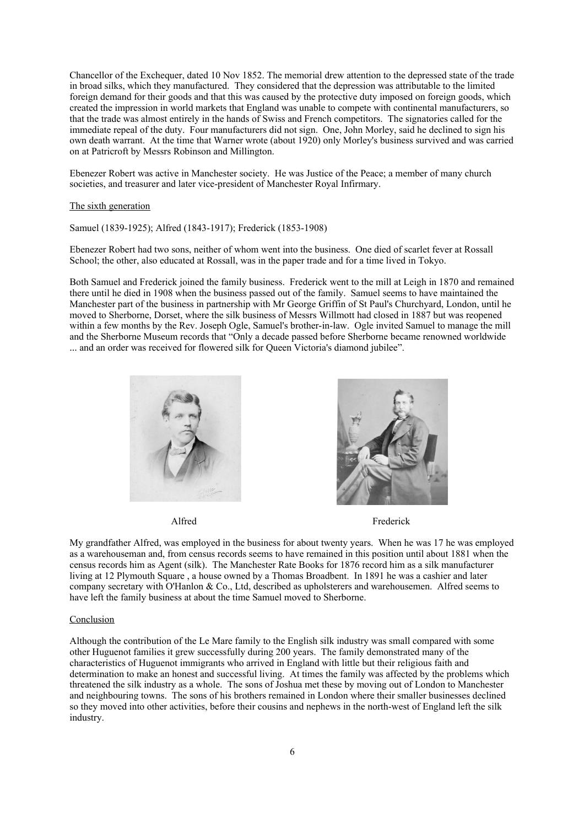Chancellor of the Exchequer, dated 10 Nov 1852. The memorial drew attention to the depressed state of the trade in broad silks, which they manufactured. They considered that the depression was attributable to the limited foreign demand for their goods and that this was caused by the protective duty imposed on foreign goods, which created the impression in world markets that England was unable to compete with continental manufacturers, so that the trade was almost entirely in the hands of Swiss and French competitors. The signatories called for the immediate repeal of the duty. Four manufacturers did not sign. One, John Morley, said he declined to sign his own death warrant. At the time that Warner wrote (about 1920) only Morley's business survived and was carried on at Patricroft by Messrs Robinson and Millington.

Ebenezer Robert was active in Manchester society. He was Justice of the Peace; a member of many church societies, and treasurer and later vice-president of Manchester Royal Infirmary.

#### The sixth generation

Samuel (1839-1925); Alfred (1843-1917); Frederick (1853-1908)

Ebenezer Robert had two sons, neither of whom went into the business. One died of scarlet fever at Rossall School; the other, also educated at Rossall, was in the paper trade and for a time lived in Tokyo.

Both Samuel and Frederick joined the family business. Frederick went to the mill at Leigh in 1870 and remained there until he died in 1908 when the business passed out of the family. Samuel seems to have maintained the Manchester part of the business in partnership with Mr George Griffin of St Paul's Churchyard, London, until he moved to Sherborne, Dorset, where the silk business of Messrs Willmott had closed in 1887 but was reopened within a few months by the Rev. Joseph Ogle, Samuel's brother-in-law. Ogle invited Samuel to manage the mill and the Sherborne Museum records that "Only a decade passed before Sherborne became renowned worldwide ... and an order was received for flowered silk for Queen Victoria's diamond jubilee".





Alfred Frederick

My grandfather Alfred, was employed in the business for about twenty years. When he was 17 he was employed as a warehouseman and, from census records seems to have remained in this position until about 1881 when the census records him as Agent (silk). The Manchester Rate Books for 1876 record him as a silk manufacturer living at 12 Plymouth Square , a house owned by a Thomas Broadbent. In 1891 he was a cashier and later company secretary with O'Hanlon & Co., Ltd, described as upholsterers and warehousemen. Alfred seems to have left the family business at about the time Samuel moved to Sherborne.

## Conclusion

Although the contribution of the Le Mare family to the English silk industry was small compared with some other Huguenot families it grew successfully during 200 years. The family demonstrated many of the characteristics of Huguenot immigrants who arrived in England with little but their religious faith and determination to make an honest and successful living. At times the family was affected by the problems which threatened the silk industry as a whole. The sons of Joshua met these by moving out of London to Manchester and neighbouring towns. The sons of his brothers remained in London where their smaller businesses declined so they moved into other activities, before their cousins and nephews in the north-west of England left the silk industry.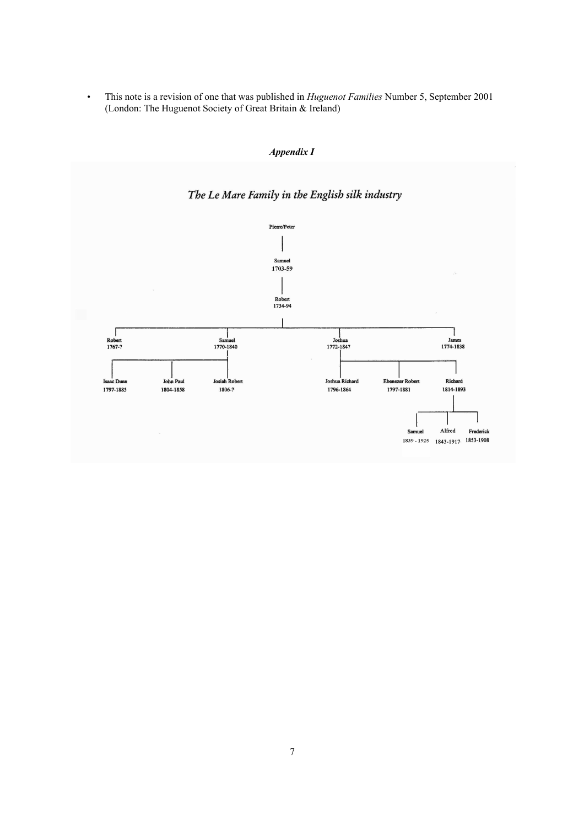• This note is a revision of one that was published in *Huguenot Families* Number 5, September 2001 (London: The Huguenot Society of Great Britain & Ireland)



*Appendix I*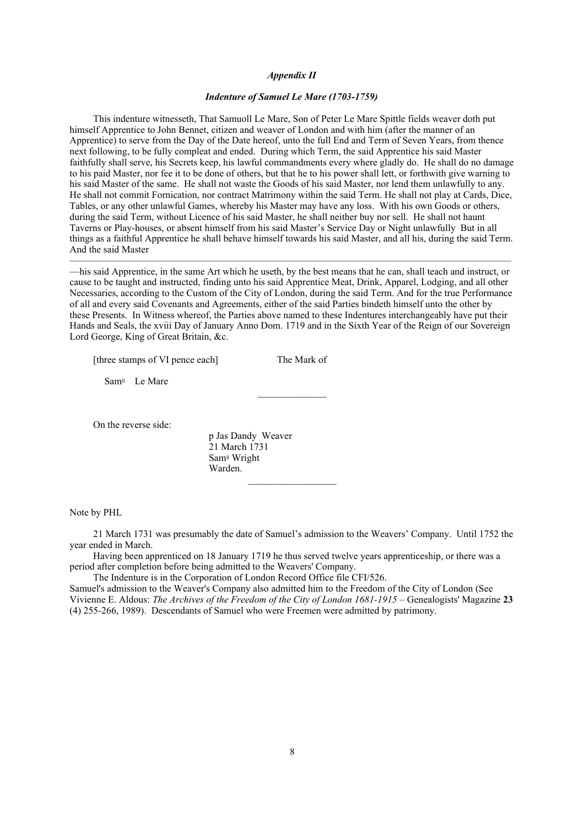## *Appendix II*

## *Indenture of Samuel Le Mare (1703-1759)*

This indenture witnesseth, That Samuoll Le Mare, Son of Peter Le Mare Spittle fields weaver doth put himself Apprentice to John Bennet, citizen and weaver of London and with him (after the manner of an Apprentice) to serve from the Day of the Date hereof, unto the full End and Term of Seven Years, from thence next following, to be fully compleat and ended. During which Term, the said Apprentice his said Master faithfully shall serve, his Secrets keep, his lawful commandments every where gladly do. He shall do no damage to his paid Master, nor fee it to be done of others, but that he to his power shall lett, or forthwith give warning to his said Master of the same. He shall not waste the Goods of his said Master, nor lend them unlawfully to any. He shall not commit Fornication, nor contract Matrimony within the said Term. He shall not play at Cards, Dice, Tables, or any other unlawful Games, whereby his Master may have any loss. With his own Goods or others, during the said Term, without Licence of his said Master, he shall neither buy nor sell. He shall not haunt Taverns or Play-houses, or absent himself from his said Master's Service Day or Night unlawfully But in all things as a faithful Apprentice he shall behave himself towards his said Master, and all his, during the said Term. And the said Master

—his said Apprentice, in the same Art which he useth, by the best means that he can, shall teach and instruct, or cause to be taught and instructed, finding unto his said Apprentice Meat, Drink, Apparel, Lodging, and all other Necessaries, according to the Custom of the City of London, during the said Term. And for the true Performance of all and every said Covenants and Agreements, either of the said Parties bindeth himself unto the other by these Presents. In Witness whereof, the Parties above named to these Indentures interchangeably have put their Hands and Seals, the xviii Day of January Anno Dom. 1719 and in the Sixth Year of the Reign of our Sovereign Lord George, King of Great Britain, &c.

 $\mathcal{L}=\mathcal{L}^{\mathcal{L}}$ 

 $\overline{\phantom{a}}$  , and the contract of the contract of the contract of the contract of the contract of the contract of the contract of the contract of the contract of the contract of the contract of the contract of the contrac

[three stamps of VI pence each] The Mark of

Samll Le Mare

On the reverse side:

p Jas Dandy Weaver 21 March 1731 Sam<sup>II</sup> Wright Warden.

Note by PHL

21 March 1731 was presumably the date of Samuel's admission to the Weavers' Company. Until 1752 the year ended in March.

Having been apprenticed on 18 January 1719 he thus served twelve years apprenticeship, or there was a period after completion before being admitted to the Weavers' Company.

The Indenture is in the Corporation of London Record Office file CFI/526.

Samuel's admission to the Weaver's Company also admitted him to the Freedom of the City of London (See Vivienne E. Aldous: *The Archives of the Freedom of the City of London 1681-1915* – Genealogists' Magazine **23** (4) 255-266, 1989). Descendants of Samuel who were Freemen were admitted by patrimony.